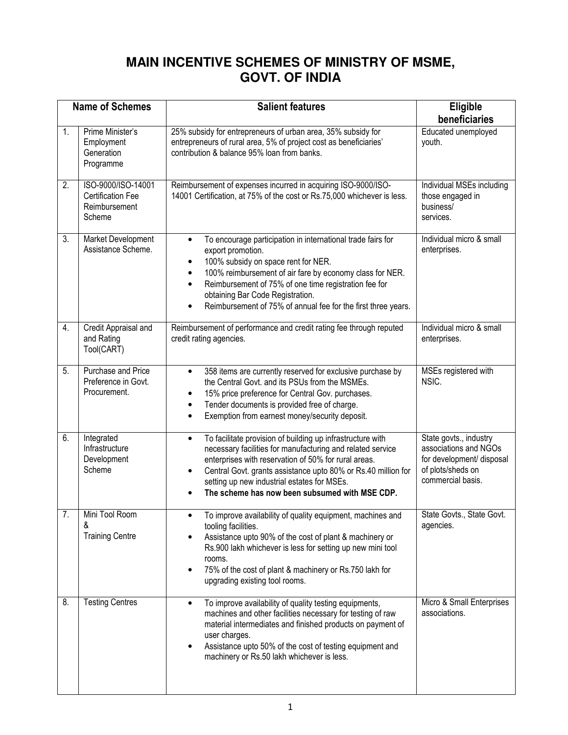## **MAIN INCENTIVE SCHEMES OF MINISTRY OF MSME, GOVT. OF INDIA**

| <b>Name of Schemes</b> |                                                                           | Salient features                                                                                                                                                                                                                                                                                                                                                            | Eligible<br>beneficiaries                                                                                              |
|------------------------|---------------------------------------------------------------------------|-----------------------------------------------------------------------------------------------------------------------------------------------------------------------------------------------------------------------------------------------------------------------------------------------------------------------------------------------------------------------------|------------------------------------------------------------------------------------------------------------------------|
| 1.                     | Prime Minister's<br>Employment<br>Generation<br>Programme                 | 25% subsidy for entrepreneurs of urban area, 35% subsidy for<br>entrepreneurs of rural area, 5% of project cost as beneficiaries'<br>contribution & balance 95% loan from banks.                                                                                                                                                                                            | Educated unemployed<br>youth.                                                                                          |
| 2.                     | ISO-9000/ISO-14001<br><b>Certification Fee</b><br>Reimbursement<br>Scheme | Reimbursement of expenses incurred in acquiring ISO-9000/ISO-<br>14001 Certification, at 75% of the cost or Rs.75,000 whichever is less.                                                                                                                                                                                                                                    | Individual MSEs including<br>those engaged in<br>business/<br>services.                                                |
| 3.                     | Market Development<br>Assistance Scheme.                                  | To encourage participation in international trade fairs for<br>$\bullet$<br>export promotion.<br>100% subsidy on space rent for NER.<br>$\bullet$<br>100% reimbursement of air fare by economy class for NER.<br>Reimbursement of 75% of one time registration fee for<br>obtaining Bar Code Registration.<br>Reimbursement of 75% of annual fee for the first three years. | Individual micro & small<br>enterprises.                                                                               |
| 4.                     | Credit Appraisal and<br>and Rating<br>Tool(CART)                          | Reimbursement of performance and credit rating fee through reputed<br>credit rating agencies.                                                                                                                                                                                                                                                                               | Individual micro & small<br>enterprises.                                                                               |
| 5.                     | Purchase and Price<br>Preference in Govt.<br>Procurement.                 | 358 items are currently reserved for exclusive purchase by<br>$\bullet$<br>the Central Govt. and its PSUs from the MSMEs.<br>15% price preference for Central Gov. purchases.<br>Tender documents is provided free of charge.<br>Exemption from earnest money/security deposit.                                                                                             | MSEs registered with<br>NSIC.                                                                                          |
| 6.                     | Integrated<br>Infrastructure<br>Development<br>Scheme                     | To facilitate provision of building up infrastructure with<br>$\bullet$<br>necessary facilities for manufacturing and related service<br>enterprises with reservation of 50% for rural areas.<br>Central Govt. grants assistance upto 80% or Rs.40 million for<br>setting up new industrial estates for MSEs.<br>The scheme has now been subsumed with MSE CDP.             | State govts., industry<br>associations and NGOs<br>for development/ disposal<br>of plots/sheds on<br>commercial basis. |
| $\overline{7}$ .       | Mini Tool Room<br>&<br><b>Training Centre</b>                             | To improve availability of quality equipment, machines and<br>tooling facilities.<br>Assistance upto 90% of the cost of plant & machinery or<br>Rs.900 lakh whichever is less for setting up new mini tool<br>rooms.<br>75% of the cost of plant & machinery or Rs.750 lakh for<br>upgrading existing tool rooms.                                                           | State Govts., State Govt.<br>agencies.                                                                                 |
| 8.                     | <b>Testing Centres</b>                                                    | To improve availability of quality testing equipments,<br>$\bullet$<br>machines and other facilities necessary for testing of raw<br>material intermediates and finished products on payment of<br>user charges.<br>Assistance upto 50% of the cost of testing equipment and<br>machinery or Rs.50 lakh whichever is less.                                                  | Micro & Small Enterprises<br>associations.                                                                             |